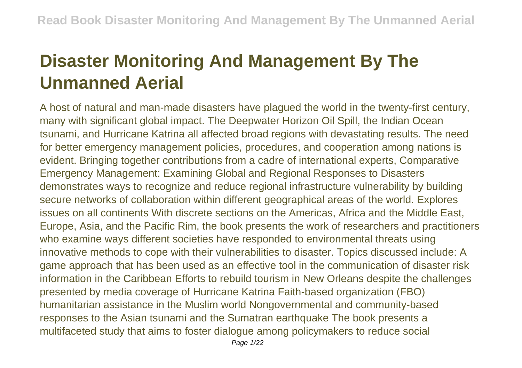## **Disaster Monitoring And Management By The Unmanned Aerial**

A host of natural and man-made disasters have plagued the world in the twenty-first century, many with significant global impact. The Deepwater Horizon Oil Spill, the Indian Ocean tsunami, and Hurricane Katrina all affected broad regions with devastating results. The need for better emergency management policies, procedures, and cooperation among nations is evident. Bringing together contributions from a cadre of international experts, Comparative Emergency Management: Examining Global and Regional Responses to Disasters demonstrates ways to recognize and reduce regional infrastructure vulnerability by building secure networks of collaboration within different geographical areas of the world. Explores issues on all continents With discrete sections on the Americas, Africa and the Middle East, Europe, Asia, and the Pacific Rim, the book presents the work of researchers and practitioners who examine ways different societies have responded to environmental threats using innovative methods to cope with their vulnerabilities to disaster. Topics discussed include: A game approach that has been used as an effective tool in the communication of disaster risk information in the Caribbean Efforts to rebuild tourism in New Orleans despite the challenges presented by media coverage of Hurricane Katrina Faith-based organization (FBO) humanitarian assistance in the Muslim world Nongovernmental and community-based responses to the Asian tsunami and the Sumatran earthquake The book presents a multifaceted study that aims to foster dialogue among policymakers to reduce social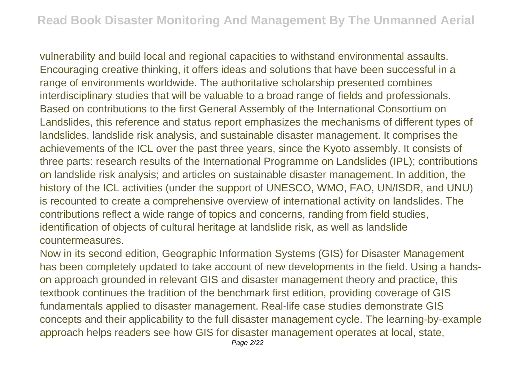vulnerability and build local and regional capacities to withstand environmental assaults. Encouraging creative thinking, it offers ideas and solutions that have been successful in a range of environments worldwide. The authoritative scholarship presented combines interdisciplinary studies that will be valuable to a broad range of fields and professionals. Based on contributions to the first General Assembly of the International Consortium on Landslides, this reference and status report emphasizes the mechanisms of different types of landslides, landslide risk analysis, and sustainable disaster management. It comprises the achievements of the ICL over the past three years, since the Kyoto assembly. It consists of three parts: research results of the International Programme on Landslides (IPL); contributions on landslide risk analysis; and articles on sustainable disaster management. In addition, the history of the ICL activities (under the support of UNESCO, WMO, FAO, UN/ISDR, and UNU) is recounted to create a comprehensive overview of international activity on landslides. The contributions reflect a wide range of topics and concerns, randing from field studies, identification of objects of cultural heritage at landslide risk, as well as landslide countermeasures.

Now in its second edition, Geographic Information Systems (GIS) for Disaster Management has been completely updated to take account of new developments in the field. Using a handson approach grounded in relevant GIS and disaster management theory and practice, this textbook continues the tradition of the benchmark first edition, providing coverage of GIS fundamentals applied to disaster management. Real-life case studies demonstrate GIS concepts and their applicability to the full disaster management cycle. The learning-by-example approach helps readers see how GIS for disaster management operates at local, state,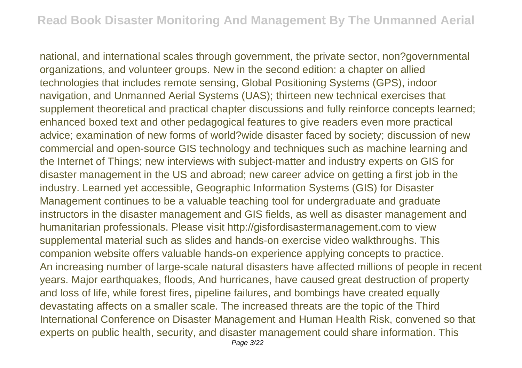national, and international scales through government, the private sector, non?governmental organizations, and volunteer groups. New in the second edition: a chapter on allied technologies that includes remote sensing, Global Positioning Systems (GPS), indoor navigation, and Unmanned Aerial Systems (UAS); thirteen new technical exercises that supplement theoretical and practical chapter discussions and fully reinforce concepts learned; enhanced boxed text and other pedagogical features to give readers even more practical advice; examination of new forms of world?wide disaster faced by society; discussion of new commercial and open-source GIS technology and techniques such as machine learning and the Internet of Things; new interviews with subject-matter and industry experts on GIS for disaster management in the US and abroad; new career advice on getting a first job in the industry. Learned yet accessible, Geographic Information Systems (GIS) for Disaster Management continues to be a valuable teaching tool for undergraduate and graduate instructors in the disaster management and GIS fields, as well as disaster management and humanitarian professionals. Please visit http://gisfordisastermanagement.com to view supplemental material such as slides and hands-on exercise video walkthroughs. This companion website offers valuable hands-on experience applying concepts to practice. An increasing number of large-scale natural disasters have affected millions of people in recent years. Major earthquakes, floods, And hurricanes, have caused great destruction of property and loss of life, while forest fires, pipeline failures, and bombings have created equally devastating affects on a smaller scale. The increased threats are the topic of the Third International Conference on Disaster Management and Human Health Risk, convened so that experts on public health, security, and disaster management could share information. This Page 3/22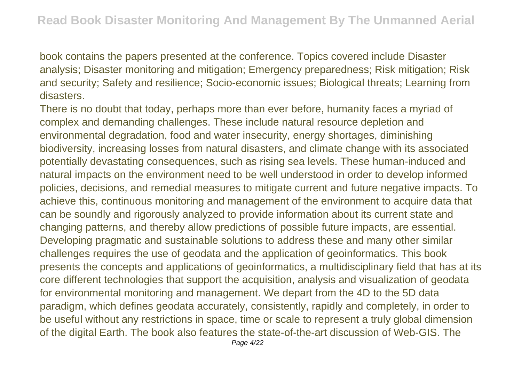book contains the papers presented at the conference. Topics covered include Disaster analysis; Disaster monitoring and mitigation; Emergency preparedness; Risk mitigation; Risk and security; Safety and resilience; Socio-economic issues; Biological threats; Learning from disasters.

There is no doubt that today, perhaps more than ever before, humanity faces a myriad of complex and demanding challenges. These include natural resource depletion and environmental degradation, food and water insecurity, energy shortages, diminishing biodiversity, increasing losses from natural disasters, and climate change with its associated potentially devastating consequences, such as rising sea levels. These human-induced and natural impacts on the environment need to be well understood in order to develop informed policies, decisions, and remedial measures to mitigate current and future negative impacts. To achieve this, continuous monitoring and management of the environment to acquire data that can be soundly and rigorously analyzed to provide information about its current state and changing patterns, and thereby allow predictions of possible future impacts, are essential. Developing pragmatic and sustainable solutions to address these and many other similar challenges requires the use of geodata and the application of geoinformatics. This book presents the concepts and applications of geoinformatics, a multidisciplinary field that has at its core different technologies that support the acquisition, analysis and visualization of geodata for environmental monitoring and management. We depart from the 4D to the 5D data paradigm, which defines geodata accurately, consistently, rapidly and completely, in order to be useful without any restrictions in space, time or scale to represent a truly global dimension of the digital Earth. The book also features the state-of-the-art discussion of Web-GIS. The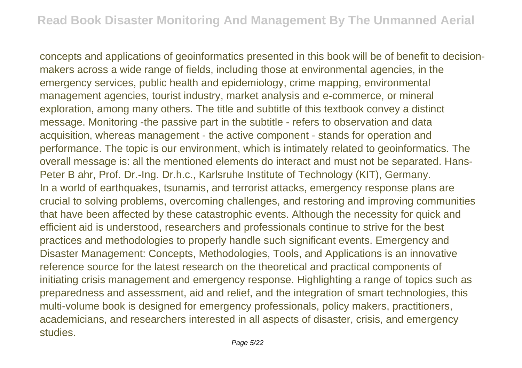concepts and applications of geoinformatics presented in this book will be of benefit to decisionmakers across a wide range of fields, including those at environmental agencies, in the emergency services, public health and epidemiology, crime mapping, environmental management agencies, tourist industry, market analysis and e-commerce, or mineral exploration, among many others. The title and subtitle of this textbook convey a distinct message. Monitoring -the passive part in the subtitle - refers to observation and data acquisition, whereas management - the active component - stands for operation and performance. The topic is our environment, which is intimately related to geoinformatics. The overall message is: all the mentioned elements do interact and must not be separated. Hans-Peter B ahr, Prof. Dr.-Ing. Dr.h.c., Karlsruhe Institute of Technology (KIT), Germany. In a world of earthquakes, tsunamis, and terrorist attacks, emergency response plans are crucial to solving problems, overcoming challenges, and restoring and improving communities that have been affected by these catastrophic events. Although the necessity for quick and efficient aid is understood, researchers and professionals continue to strive for the best practices and methodologies to properly handle such significant events. Emergency and Disaster Management: Concepts, Methodologies, Tools, and Applications is an innovative reference source for the latest research on the theoretical and practical components of initiating crisis management and emergency response. Highlighting a range of topics such as preparedness and assessment, aid and relief, and the integration of smart technologies, this multi-volume book is designed for emergency professionals, policy makers, practitioners, academicians, and researchers interested in all aspects of disaster, crisis, and emergency studies.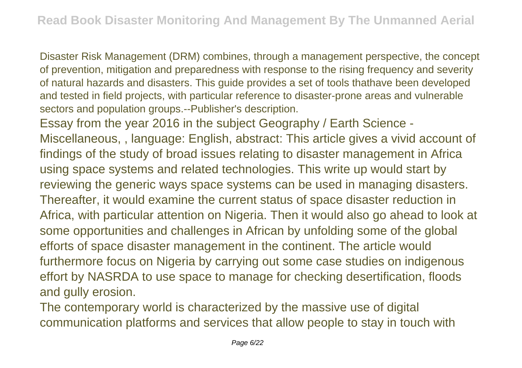Disaster Risk Management (DRM) combines, through a management perspective, the concept of prevention, mitigation and preparedness with response to the rising frequency and severity of natural hazards and disasters. This guide provides a set of tools thathave been developed and tested in field projects, with particular reference to disaster-prone areas and vulnerable sectors and population groups.--Publisher's description.

Essay from the year 2016 in the subject Geography / Earth Science - Miscellaneous, , language: English, abstract: This article gives a vivid account of findings of the study of broad issues relating to disaster management in Africa using space systems and related technologies. This write up would start by reviewing the generic ways space systems can be used in managing disasters. Thereafter, it would examine the current status of space disaster reduction in Africa, with particular attention on Nigeria. Then it would also go ahead to look at some opportunities and challenges in African by unfolding some of the global efforts of space disaster management in the continent. The article would furthermore focus on Nigeria by carrying out some case studies on indigenous effort by NASRDA to use space to manage for checking desertification, floods and gully erosion.

The contemporary world is characterized by the massive use of digital communication platforms and services that allow people to stay in touch with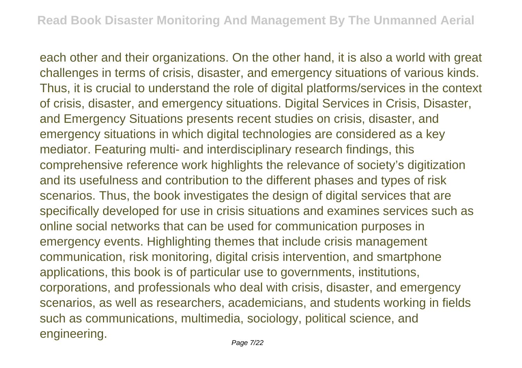each other and their organizations. On the other hand, it is also a world with great challenges in terms of crisis, disaster, and emergency situations of various kinds. Thus, it is crucial to understand the role of digital platforms/services in the context of crisis, disaster, and emergency situations. Digital Services in Crisis, Disaster, and Emergency Situations presents recent studies on crisis, disaster, and emergency situations in which digital technologies are considered as a key mediator. Featuring multi- and interdisciplinary research findings, this comprehensive reference work highlights the relevance of society's digitization and its usefulness and contribution to the different phases and types of risk scenarios. Thus, the book investigates the design of digital services that are specifically developed for use in crisis situations and examines services such as online social networks that can be used for communication purposes in emergency events. Highlighting themes that include crisis management communication, risk monitoring, digital crisis intervention, and smartphone applications, this book is of particular use to governments, institutions, corporations, and professionals who deal with crisis, disaster, and emergency scenarios, as well as researchers, academicians, and students working in fields such as communications, multimedia, sociology, political science, and engineering.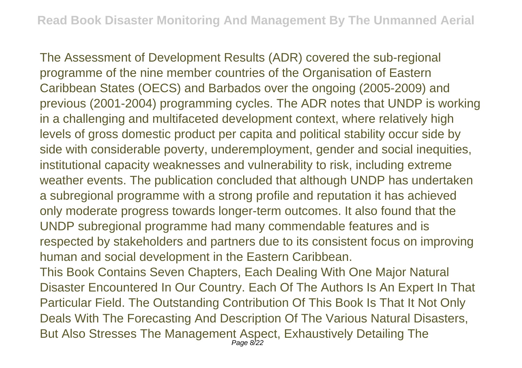The Assessment of Development Results (ADR) covered the sub-regional programme of the nine member countries of the Organisation of Eastern Caribbean States (OECS) and Barbados over the ongoing (2005-2009) and previous (2001-2004) programming cycles. The ADR notes that UNDP is working in a challenging and multifaceted development context, where relatively high levels of gross domestic product per capita and political stability occur side by side with considerable poverty, underemployment, gender and social inequities, institutional capacity weaknesses and vulnerability to risk, including extreme weather events. The publication concluded that although UNDP has undertaken a subregional programme with a strong profile and reputation it has achieved only moderate progress towards longer-term outcomes. It also found that the UNDP subregional programme had many commendable features and is respected by stakeholders and partners due to its consistent focus on improving human and social development in the Eastern Caribbean.

This Book Contains Seven Chapters, Each Dealing With One Major Natural Disaster Encountered In Our Country. Each Of The Authors Is An Expert In That Particular Field. The Outstanding Contribution Of This Book Is That It Not Only Deals With The Forecasting And Description Of The Various Natural Disasters, But Also Stresses The Management Aspect, Exhaustively Detailing The Page 8/22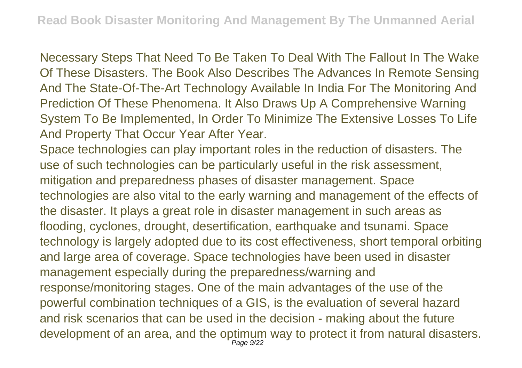Necessary Steps That Need To Be Taken To Deal With The Fallout In The Wake Of These Disasters. The Book Also Describes The Advances In Remote Sensing And The State-Of-The-Art Technology Available In India For The Monitoring And Prediction Of These Phenomena. It Also Draws Up A Comprehensive Warning System To Be Implemented, In Order To Minimize The Extensive Losses To Life And Property That Occur Year After Year.

Space technologies can play important roles in the reduction of disasters. The use of such technologies can be particularly useful in the risk assessment, mitigation and preparedness phases of disaster management. Space technologies are also vital to the early warning and management of the effects of the disaster. It plays a great role in disaster management in such areas as flooding, cyclones, drought, desertification, earthquake and tsunami. Space technology is largely adopted due to its cost effectiveness, short temporal orbiting and large area of coverage. Space technologies have been used in disaster management especially during the preparedness/warning and response/monitoring stages. One of the main advantages of the use of the powerful combination techniques of a GIS, is the evaluation of several hazard and risk scenarios that can be used in the decision - making about the future development of an area, and the optimum way to protect it from natural disasters. Page 9/22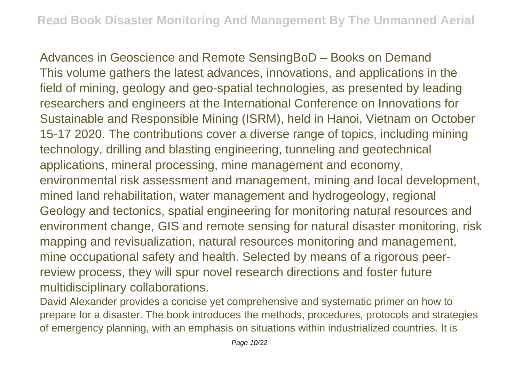Advances in Geoscience and Remote SensingBoD – Books on Demand This volume gathers the latest advances, innovations, and applications in the field of mining, geology and geo-spatial technologies, as presented by leading researchers and engineers at the International Conference on Innovations for Sustainable and Responsible Mining (ISRM), held in Hanoi, Vietnam on October 15-17 2020. The contributions cover a diverse range of topics, including mining technology, drilling and blasting engineering, tunneling and geotechnical applications, mineral processing, mine management and economy, environmental risk assessment and management, mining and local development, mined land rehabilitation, water management and hydrogeology, regional Geology and tectonics, spatial engineering for monitoring natural resources and environment change, GIS and remote sensing for natural disaster monitoring, risk mapping and revisualization, natural resources monitoring and management, mine occupational safety and health. Selected by means of a rigorous peerreview process, they will spur novel research directions and foster future multidisciplinary collaborations.

David Alexander provides a concise yet comprehensive and systematic primer on how to prepare for a disaster. The book introduces the methods, procedures, protocols and strategies of emergency planning, with an emphasis on situations within industrialized countries. It is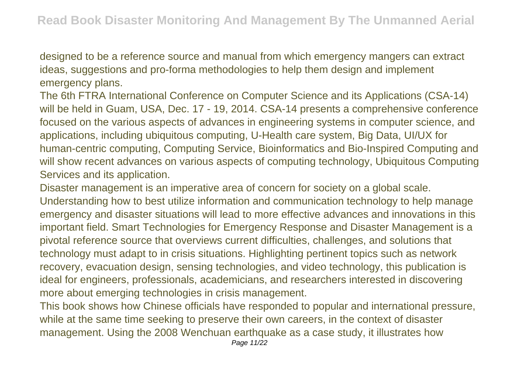designed to be a reference source and manual from which emergency mangers can extract ideas, suggestions and pro-forma methodologies to help them design and implement emergency plans.

The 6th FTRA International Conference on Computer Science and its Applications (CSA-14) will be held in Guam, USA, Dec. 17 - 19, 2014. CSA-14 presents a comprehensive conference focused on the various aspects of advances in engineering systems in computer science, and applications, including ubiquitous computing, U-Health care system, Big Data, UI/UX for human-centric computing, Computing Service, Bioinformatics and Bio-Inspired Computing and will show recent advances on various aspects of computing technology, Ubiquitous Computing Services and its application.

Disaster management is an imperative area of concern for society on a global scale. Understanding how to best utilize information and communication technology to help manage emergency and disaster situations will lead to more effective advances and innovations in this important field. Smart Technologies for Emergency Response and Disaster Management is a pivotal reference source that overviews current difficulties, challenges, and solutions that technology must adapt to in crisis situations. Highlighting pertinent topics such as network recovery, evacuation design, sensing technologies, and video technology, this publication is ideal for engineers, professionals, academicians, and researchers interested in discovering more about emerging technologies in crisis management.

This book shows how Chinese officials have responded to popular and international pressure, while at the same time seeking to preserve their own careers, in the context of disaster management. Using the 2008 Wenchuan earthquake as a case study, it illustrates how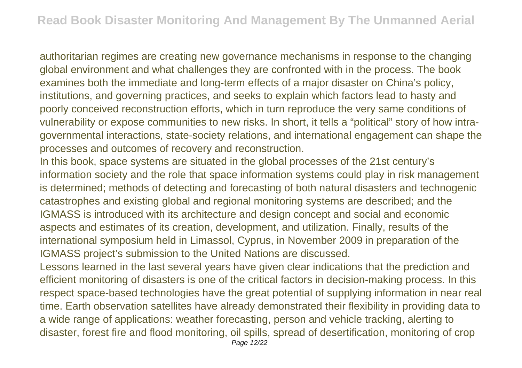authoritarian regimes are creating new governance mechanisms in response to the changing global environment and what challenges they are confronted with in the process. The book examines both the immediate and long-term effects of a major disaster on China's policy, institutions, and governing practices, and seeks to explain which factors lead to hasty and poorly conceived reconstruction efforts, which in turn reproduce the very same conditions of vulnerability or expose communities to new risks. In short, it tells a "political" story of how intragovernmental interactions, state-society relations, and international engagement can shape the processes and outcomes of recovery and reconstruction.

In this book, space systems are situated in the global processes of the 21st century's information society and the role that space information systems could play in risk management is determined; methods of detecting and forecasting of both natural disasters and technogenic catastrophes and existing global and regional monitoring systems are described; and the IGMASS is introduced with its architecture and design concept and social and economic aspects and estimates of its creation, development, and utilization. Finally, results of the international symposium held in Limassol, Cyprus, in November 2009 in preparation of the IGMASS project's submission to the United Nations are discussed.

Lessons learned in the last several years have given clear indications that the prediction and efficient monitoring of disasters is one of the critical factors in decision-making process. In this respect space-based technologies have the great potential of supplying information in near real time. Earth observation satellites have already demonstrated their flexibility in providing data to a wide range of applications: weather forecasting, person and vehicle tracking, alerting to disaster, forest fire and flood monitoring, oil spills, spread of desertification, monitoring of crop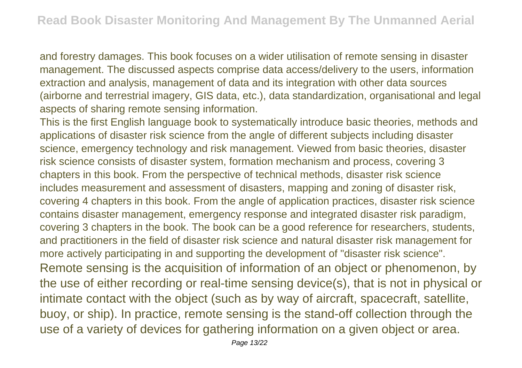and forestry damages. This book focuses on a wider utilisation of remote sensing in disaster management. The discussed aspects comprise data access/delivery to the users, information extraction and analysis, management of data and its integration with other data sources (airborne and terrestrial imagery, GIS data, etc.), data standardization, organisational and legal aspects of sharing remote sensing information.

This is the first English language book to systematically introduce basic theories, methods and applications of disaster risk science from the angle of different subjects including disaster science, emergency technology and risk management. Viewed from basic theories, disaster risk science consists of disaster system, formation mechanism and process, covering 3 chapters in this book. From the perspective of technical methods, disaster risk science includes measurement and assessment of disasters, mapping and zoning of disaster risk, covering 4 chapters in this book. From the angle of application practices, disaster risk science contains disaster management, emergency response and integrated disaster risk paradigm, covering 3 chapters in the book. The book can be a good reference for researchers, students, and practitioners in the field of disaster risk science and natural disaster risk management for more actively participating in and supporting the development of "disaster risk science". Remote sensing is the acquisition of information of an object or phenomenon, by the use of either recording or real-time sensing device(s), that is not in physical or intimate contact with the object (such as by way of aircraft, spacecraft, satellite, buoy, or ship). In practice, remote sensing is the stand-off collection through the use of a variety of devices for gathering information on a given object or area.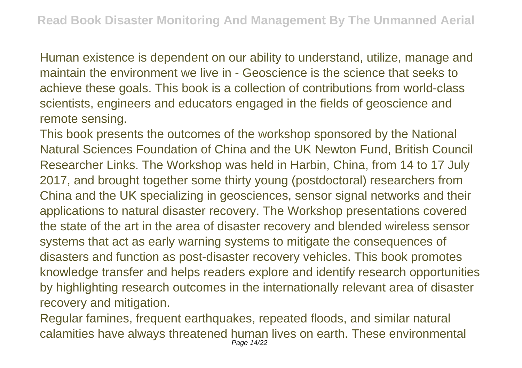Human existence is dependent on our ability to understand, utilize, manage and maintain the environment we live in - Geoscience is the science that seeks to achieve these goals. This book is a collection of contributions from world-class scientists, engineers and educators engaged in the fields of geoscience and remote sensing.

This book presents the outcomes of the workshop sponsored by the National Natural Sciences Foundation of China and the UK Newton Fund, British Council Researcher Links. The Workshop was held in Harbin, China, from 14 to 17 July 2017, and brought together some thirty young (postdoctoral) researchers from China and the UK specializing in geosciences, sensor signal networks and their applications to natural disaster recovery. The Workshop presentations covered the state of the art in the area of disaster recovery and blended wireless sensor systems that act as early warning systems to mitigate the consequences of disasters and function as post-disaster recovery vehicles. This book promotes knowledge transfer and helps readers explore and identify research opportunities by highlighting research outcomes in the internationally relevant area of disaster recovery and mitigation.

Regular famines, frequent earthquakes, repeated floods, and similar natural calamities have always threatened human lives on earth. These environmental Page 14/22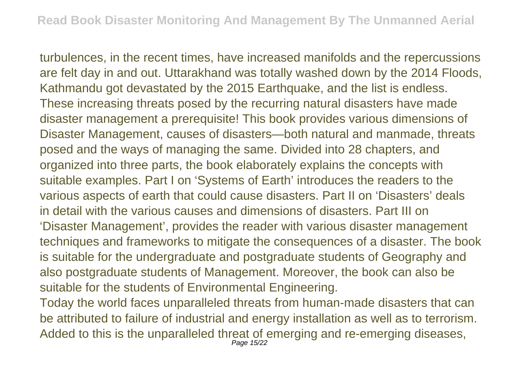turbulences, in the recent times, have increased manifolds and the repercussions are felt day in and out. Uttarakhand was totally washed down by the 2014 Floods, Kathmandu got devastated by the 2015 Earthquake, and the list is endless. These increasing threats posed by the recurring natural disasters have made disaster management a prerequisite! This book provides various dimensions of Disaster Management, causes of disasters—both natural and manmade, threats posed and the ways of managing the same. Divided into 28 chapters, and organized into three parts, the book elaborately explains the concepts with suitable examples. Part I on 'Systems of Earth' introduces the readers to the various aspects of earth that could cause disasters. Part II on 'Disasters' deals in detail with the various causes and dimensions of disasters. Part III on 'Disaster Management', provides the reader with various disaster management techniques and frameworks to mitigate the consequences of a disaster. The book is suitable for the undergraduate and postgraduate students of Geography and also postgraduate students of Management. Moreover, the book can also be suitable for the students of Environmental Engineering.

Today the world faces unparalleled threats from human-made disasters that can be attributed to failure of industrial and energy installation as well as to terrorism. Added to this is the unparalleled threat of emerging and re-emerging diseases, Page 15/22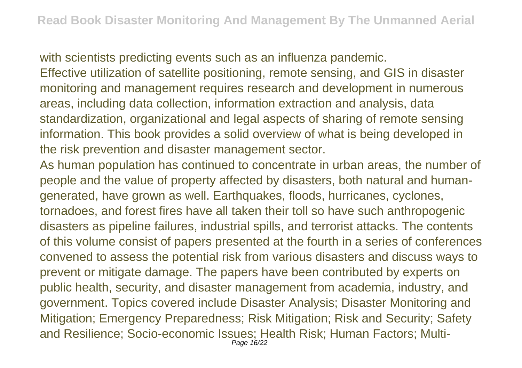with scientists predicting events such as an influenza pandemic. Effective utilization of satellite positioning, remote sensing, and GIS in disaster monitoring and management requires research and development in numerous areas, including data collection, information extraction and analysis, data standardization, organizational and legal aspects of sharing of remote sensing information. This book provides a solid overview of what is being developed in the risk prevention and disaster management sector.

As human population has continued to concentrate in urban areas, the number of people and the value of property affected by disasters, both natural and humangenerated, have grown as well. Earthquakes, floods, hurricanes, cyclones, tornadoes, and forest fires have all taken their toll so have such anthropogenic disasters as pipeline failures, industrial spills, and terrorist attacks. The contents of this volume consist of papers presented at the fourth in a series of conferences convened to assess the potential risk from various disasters and discuss ways to prevent or mitigate damage. The papers have been contributed by experts on public health, security, and disaster management from academia, industry, and government. Topics covered include Disaster Analysis; Disaster Monitoring and Mitigation; Emergency Preparedness; Risk Mitigation; Risk and Security; Safety and Resilience; Socio-economic Issues; Health Risk; Human Factors; Multi-Page 16/22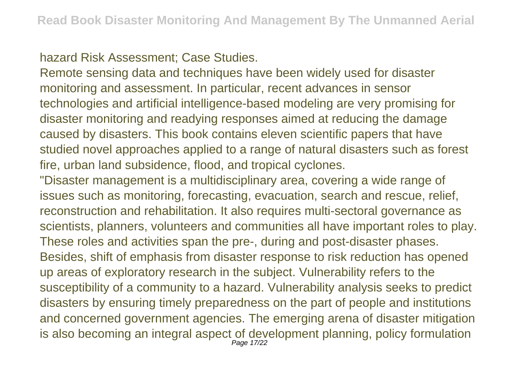hazard Risk Assessment; Case Studies.

Remote sensing data and techniques have been widely used for disaster monitoring and assessment. In particular, recent advances in sensor technologies and artificial intelligence-based modeling are very promising for disaster monitoring and readying responses aimed at reducing the damage caused by disasters. This book contains eleven scientific papers that have studied novel approaches applied to a range of natural disasters such as forest fire, urban land subsidence, flood, and tropical cyclones.

"Disaster management is a multidisciplinary area, covering a wide range of issues such as monitoring, forecasting, evacuation, search and rescue, relief, reconstruction and rehabilitation. It also requires multi-sectoral governance as scientists, planners, volunteers and communities all have important roles to play. These roles and activities span the pre-, during and post-disaster phases. Besides, shift of emphasis from disaster response to risk reduction has opened up areas of exploratory research in the subject. Vulnerability refers to the susceptibility of a community to a hazard. Vulnerability analysis seeks to predict disasters by ensuring timely preparedness on the part of people and institutions and concerned government agencies. The emerging arena of disaster mitigation is also becoming an integral aspect of development planning, policy formulation Page 17/22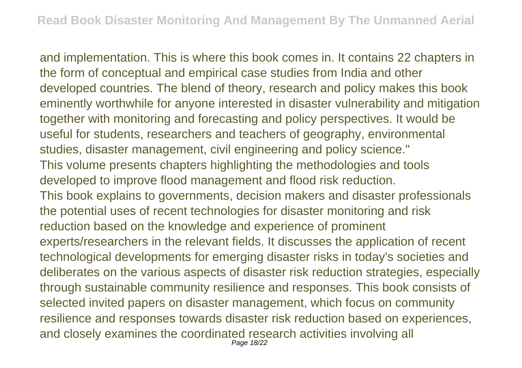and implementation. This is where this book comes in. It contains 22 chapters in the form of conceptual and empirical case studies from India and other developed countries. The blend of theory, research and policy makes this book eminently worthwhile for anyone interested in disaster vulnerability and mitigation together with monitoring and forecasting and policy perspectives. It would be useful for students, researchers and teachers of geography, environmental studies, disaster management, civil engineering and policy science." This volume presents chapters highlighting the methodologies and tools developed to improve flood management and flood risk reduction. This book explains to governments, decision makers and disaster professionals the potential uses of recent technologies for disaster monitoring and risk reduction based on the knowledge and experience of prominent experts/researchers in the relevant fields. It discusses the application of recent technological developments for emerging disaster risks in today's societies and deliberates on the various aspects of disaster risk reduction strategies, especially through sustainable community resilience and responses. This book consists of selected invited papers on disaster management, which focus on community resilience and responses towards disaster risk reduction based on experiences, and closely examines the coordinated research activities involving all Page 18/22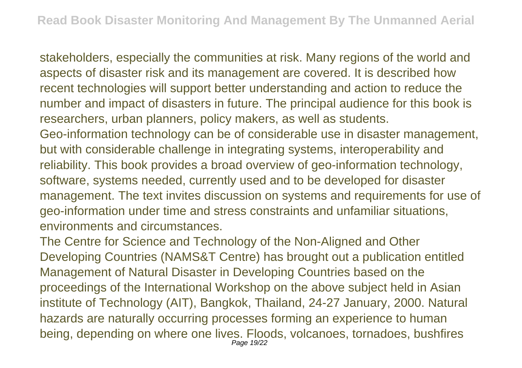stakeholders, especially the communities at risk. Many regions of the world and aspects of disaster risk and its management are covered. It is described how recent technologies will support better understanding and action to reduce the number and impact of disasters in future. The principal audience for this book is researchers, urban planners, policy makers, as well as students. Geo-information technology can be of considerable use in disaster management, but with considerable challenge in integrating systems, interoperability and reliability. This book provides a broad overview of geo-information technology,

software, systems needed, currently used and to be developed for disaster management. The text invites discussion on systems and requirements for use of geo-information under time and stress constraints and unfamiliar situations, environments and circumstances.

The Centre for Science and Technology of the Non-Aligned and Other Developing Countries (NAMS&T Centre) has brought out a publication entitled Management of Natural Disaster in Developing Countries based on the proceedings of the International Workshop on the above subject held in Asian institute of Technology (AIT), Bangkok, Thailand, 24-27 January, 2000. Natural hazards are naturally occurring processes forming an experience to human being, depending on where one lives. Floods, volcanoes, tornadoes, bushfires Page 19/22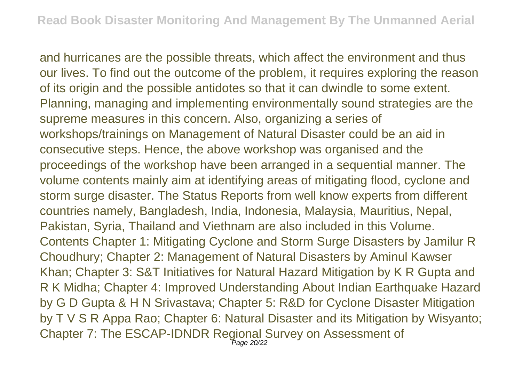and hurricanes are the possible threats, which affect the environment and thus our lives. To find out the outcome of the problem, it requires exploring the reason of its origin and the possible antidotes so that it can dwindle to some extent. Planning, managing and implementing environmentally sound strategies are the supreme measures in this concern. Also, organizing a series of workshops/trainings on Management of Natural Disaster could be an aid in consecutive steps. Hence, the above workshop was organised and the proceedings of the workshop have been arranged in a sequential manner. The volume contents mainly aim at identifying areas of mitigating flood, cyclone and storm surge disaster. The Status Reports from well know experts from different countries namely, Bangladesh, India, Indonesia, Malaysia, Mauritius, Nepal, Pakistan, Syria, Thailand and Viethnam are also included in this Volume. Contents Chapter 1: Mitigating Cyclone and Storm Surge Disasters by Jamilur R Choudhury; Chapter 2: Management of Natural Disasters by Aminul Kawser Khan; Chapter 3: S&T Initiatives for Natural Hazard Mitigation by K R Gupta and R K Midha; Chapter 4: Improved Understanding About Indian Earthquake Hazard by G D Gupta & H N Srivastava; Chapter 5: R&D for Cyclone Disaster Mitigation by T V S R Appa Rao; Chapter 6: Natural Disaster and its Mitigation by Wisyanto; Chapter 7: The ESCAP-IDNDR Regional Survey on Assessment of Page 20/22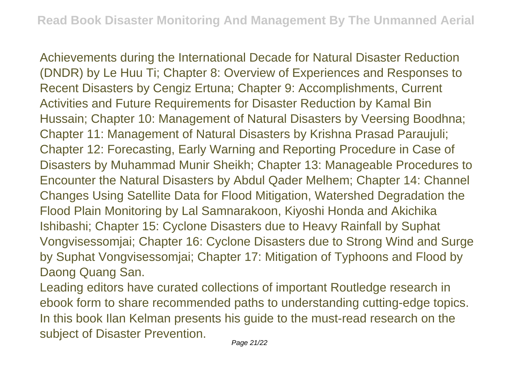Achievements during the International Decade for Natural Disaster Reduction (DNDR) by Le Huu Ti; Chapter 8: Overview of Experiences and Responses to Recent Disasters by Cengiz Ertuna; Chapter 9: Accomplishments, Current Activities and Future Requirements for Disaster Reduction by Kamal Bin Hussain; Chapter 10: Management of Natural Disasters by Veersing Boodhna; Chapter 11: Management of Natural Disasters by Krishna Prasad Paraujuli; Chapter 12: Forecasting, Early Warning and Reporting Procedure in Case of Disasters by Muhammad Munir Sheikh; Chapter 13: Manageable Procedures to Encounter the Natural Disasters by Abdul Qader Melhem; Chapter 14: Channel Changes Using Satellite Data for Flood Mitigation, Watershed Degradation the Flood Plain Monitoring by Lal Samnarakoon, Kiyoshi Honda and Akichika Ishibashi; Chapter 15: Cyclone Disasters due to Heavy Rainfall by Suphat Vongvisessomjai; Chapter 16: Cyclone Disasters due to Strong Wind and Surge by Suphat Vongvisessomjai; Chapter 17: Mitigation of Typhoons and Flood by Daong Quang San.

Leading editors have curated collections of important Routledge research in ebook form to share recommended paths to understanding cutting-edge topics. In this book Ilan Kelman presents his guide to the must-read research on the subject of Disaster Prevention.